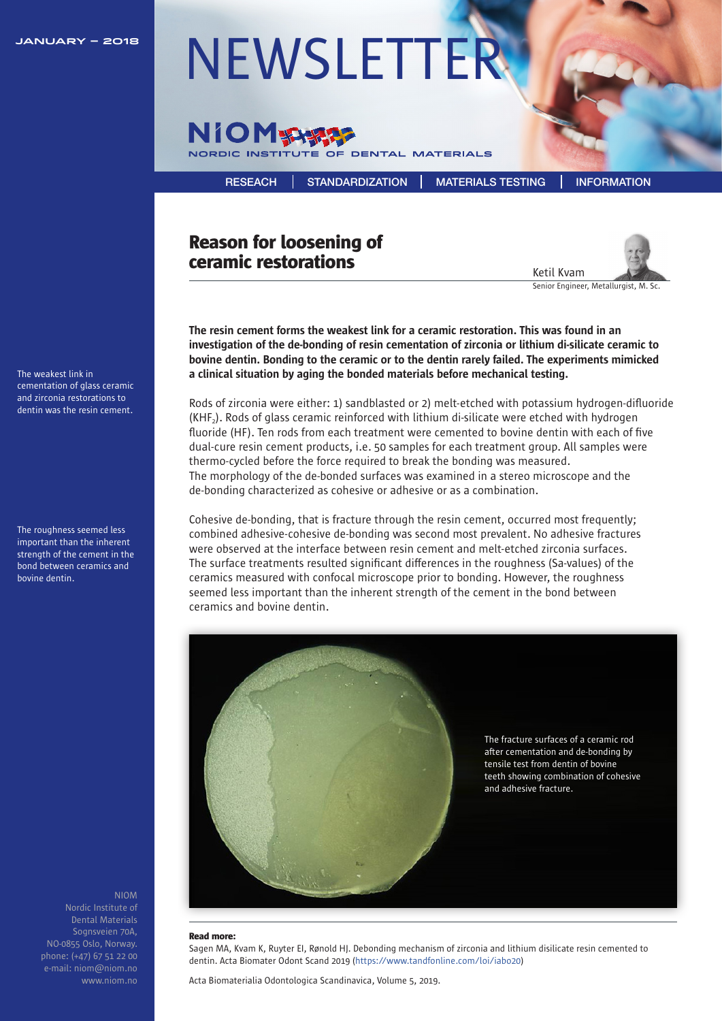

# **JANUARY – 2018** [NEWSLETTER](https://niom.no/category/newsletters/)



[RESEACH](https://niom.no/research/) [STANDARDIZATION](https://niom.no/standardization/) [MATERIALS TESTING](https://niom.no/materials-testing/) [INFORMATION](https://niom.no/information/)

## Reason for loosening of ceramic restorations



Senior Engineer, Metallurgist, M. Sc.

The resin cement forms the weakest link for a ceramic restoration. This was found in an investigation of the de-bonding of resin cementation of zirconia or lithium di-silicate ceramic to bovine dentin. Bonding to the ceramic or to the dentin rarely failed. The experiments mimicked a clinical situation by aging the bonded materials before mechanical testing.

Rods of zirconia were either: 1) sandblasted or 2) melt-etched with potassium hydrogen-difluoride  $(KHF<sub>2</sub>)$ . Rods of glass ceramic reinforced with lithium di-silicate were etched with hydrogen fluoride (HF). Ten rods from each treatment were cemented to bovine dentin with each of five dual-cure resin cement products, i.e. 50 samples for each treatment group. All samples were thermo-cycled before the force required to break the bonding was measured. The morphology of the de-bonded surfaces was examined in a stereo microscope and the de-bonding characterized as cohesive or adhesive or as a combination.

Cohesive de-bonding, that is fracture through the resin cement, occurred most frequently; combined adhesive-cohesive de-bonding was second most prevalent. No adhesive fractures were observed at the interface between resin cement and melt-etched zirconia surfaces. The surface treatments resulted significant differences in the roughness (Sa-values) of the ceramics measured with confocal microscope prior to bonding. However, the roughness seemed less important than the inherent strength of the cement in the bond between ceramics and bovine dentin.



#### Read more:

Sagen MA, Kvam K, Ruyter EI, Rønold HJ. Debonding mechanism of zirconia and lithium disilicate resin cemented to dentin. Acta Biomater Odont Scand 201[9 \(https://www.tandfonline.com/loi/iabo20\)](https://www.tandfonline.com/loi/iabo20)

Acta Biomaterialia Odontologica Scandinavica, Volume 5, 2019.

The weakest link in cementation of glass ceramic and zirconia restorations to dentin was the resin cement.

The roughness seemed less important than the inherent strength of the cement in the bond between ceramics and bovine dentin.

> NIOM Dental Materials Sognsveien 70A, NO-0855 Oslo, Norway. phone: (+47) 67 51 22 00 e-mail: niom@niom.no www.niom.no